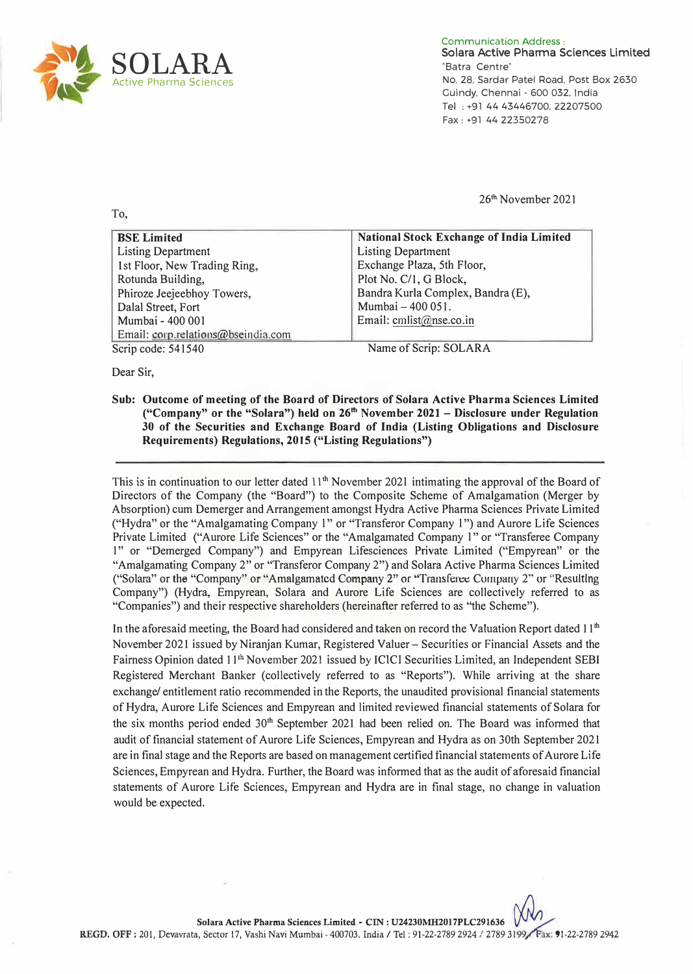

To,

Communication Address: **Sciara Active Pharma Sciences Limited**  "Batra Centre" No. 28, Sardar Patel Road, Post Box 2630 Guindy. Chennai - 600 032, India Tel : +91 44 43446700, 22207500 Fax : +91 44 22350278

26**th** November 2021

| <b>BSE Limited</b>                 | National Stock Exchange of India Limited |
|------------------------------------|------------------------------------------|
| <b>Listing Department</b>          | <b>Listing Department</b>                |
| 1st Floor, New Trading Ring,       | Exchange Plaza, 5th Floor,               |
| Rotunda Building,                  | Plot No. C/1, G Block,                   |
| Phiroze Jeejeebhoy Towers,         | Bandra Kurla Complex, Bandra (E),        |
| Dalal Street, Fort                 | Mumbai - 400 051.                        |
| Mumbai - 400 001                   | Email: cmlist@nse.co.in                  |
| Email: corp.relations@bseindia.com |                                          |
| Scrip code: 541540                 | Name of Scrip: SOLARA                    |

Dear Sir,

Name of Scrip: SOLARA

**Sub: Outcome of meeting of the Board of Directors of Solara Active Pharma Sciences Limited ("Company" or the "Solara") held on 26th November 2021 - Disclosure under Regulation 30 of the Securities and Exchange Board of India (Listing Obligations and Disclosure Requirements) Regulations, 2015 ("Listing Regulations")** 

This is in continuation to our letter dated 11<sup>th</sup> November 2021 intimating the approval of the Board of Directors of the Company (the "Board") to the Composite Scheme of Amalgamation (Merger by Absorption) cum Demerger and Arrangement amongst Hydra Active Pharma Sciences Private Limited ("Hydra" or the "Amalgamating Company l" or "Transferor Company l ") and Aurore Life Sciences Private Limited ("Aurore Life Sciences" or the "Amalgamated Company l" or "Transferee Company l" or "Demerged Company") and Empyrean Lifesciences Private Limited ("Empyrean" or the "Amalgamating Company 2" or "Transferor Company 2") and Solara Active Pharma Sciences Limited ("Solara" or the "Company" or "Amalgamated Company 2" or "Transferee Cumpany 2" or "Resulting Company") (Hydra, Empyrean, Solara and Aurore Life Sciences are collectively referred to as "Companies") and their respective shareholders (hereinafter referred to as "the Scheme").

In the aforesaid meeting, the Board had considered and taken on record the Valuation Report dated 11**th**  November 2021 issued by Niranjan Kumar, Registered Valuer - Securities or Financial Assets and the Fairness Opinion dated 11**th** November 2021 issued by ICICI Securities Limited, an Independent SEBI Registered Merchant Banker (collectively referred to as "Reports"). While arriving at the share exchange/ entitlement ratio recommended in the Reports, the unaudited provisional financial statements of Hydra, Aurore Life Sciences and Empyrean and limited reviewed financial statements of Solara for the six months period ended 30**th** September 2021 had been relied on. The Board was informed that audit of financial statement of Aurore Life Sciences, Empyrean and Hydra as on 30th September 2021 are in final stage and the Reports are based on management certified financial statements of Aurore Life Sciences, Empyrean and Hydra. Further, the Board was informed that as the audit of aforesaid financial statements of Aurore Life Sciences, Empyrean and Hydra are in final stage, no change in valuation would be expected.